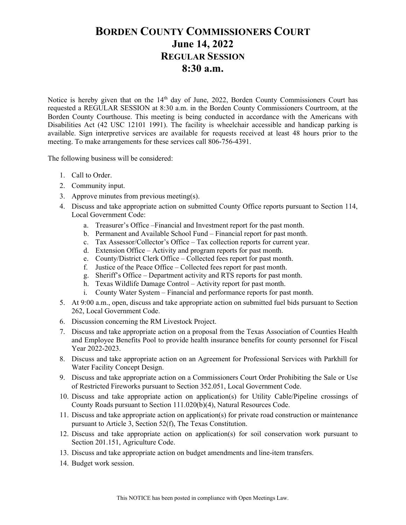## BORDEN COUNTY COMMISSIONERS COURT June 14, 2022 REGULAR SESSION 8:30 a.m.

Notice is hereby given that on the 14<sup>th</sup> day of June, 2022, Borden County Commissioners Court has requested a REGULAR SESSION at 8:30 a.m. in the Borden County Commissioners Courtroom, at the Borden County Courthouse. This meeting is being conducted in accordance with the Americans with Disabilities Act (42 USC 12101 1991). The facility is wheelchair accessible and handicap parking is available. Sign interpretive services are available for requests received at least 48 hours prior to the meeting. To make arrangements for these services call 806-756-4391.

The following business will be considered:

- 1. Call to Order.
- 2. Community input.
- 3. Approve minutes from previous meeting(s).
- 4. Discuss and take appropriate action on submitted County Office reports pursuant to Section 114, Local Government Code:
	- a. Treasurer's Office –Financial and Investment report for the past month.
	- b. Permanent and Available School Fund Financial report for past month.
	- c. Tax Assessor/Collector's Office Tax collection reports for current year.
	- d. Extension Office Activity and program reports for past month.
	- e. County/District Clerk Office Collected fees report for past month.
	- f. Justice of the Peace Office Collected fees report for past month.
	- g. Sheriff's Office Department activity and RTS reports for past month.
	- h. Texas Wildlife Damage Control Activity report for past month.
	- i. County Water System Financial and performance reports for past month.
- 5. At 9:00 a.m., open, discuss and take appropriate action on submitted fuel bids pursuant to Section 262, Local Government Code.
- 6. Discussion concerning the RM Livestock Project.
- 7. Discuss and take appropriate action on a proposal from the Texas Association of Counties Health and Employee Benefits Pool to provide health insurance benefits for county personnel for Fiscal Year 2022-2023.
- 8. Discuss and take appropriate action on an Agreement for Professional Services with Parkhill for Water Facility Concept Design.
- 9. Discuss and take appropriate action on a Commissioners Court Order Prohibiting the Sale or Use of Restricted Fireworks pursuant to Section 352.051, Local Government Code.
- 10. Discuss and take appropriate action on application(s) for Utility Cable/Pipeline crossings of County Roads pursuant to Section 111.020(b)(4), Natural Resources Code.
- 11. Discuss and take appropriate action on application(s) for private road construction or maintenance pursuant to Article 3, Section 52(f), The Texas Constitution.
- 12. Discuss and take appropriate action on application(s) for soil conservation work pursuant to Section 201.151, Agriculture Code.
- 13. Discuss and take appropriate action on budget amendments and line-item transfers.
- 14. Budget work session.